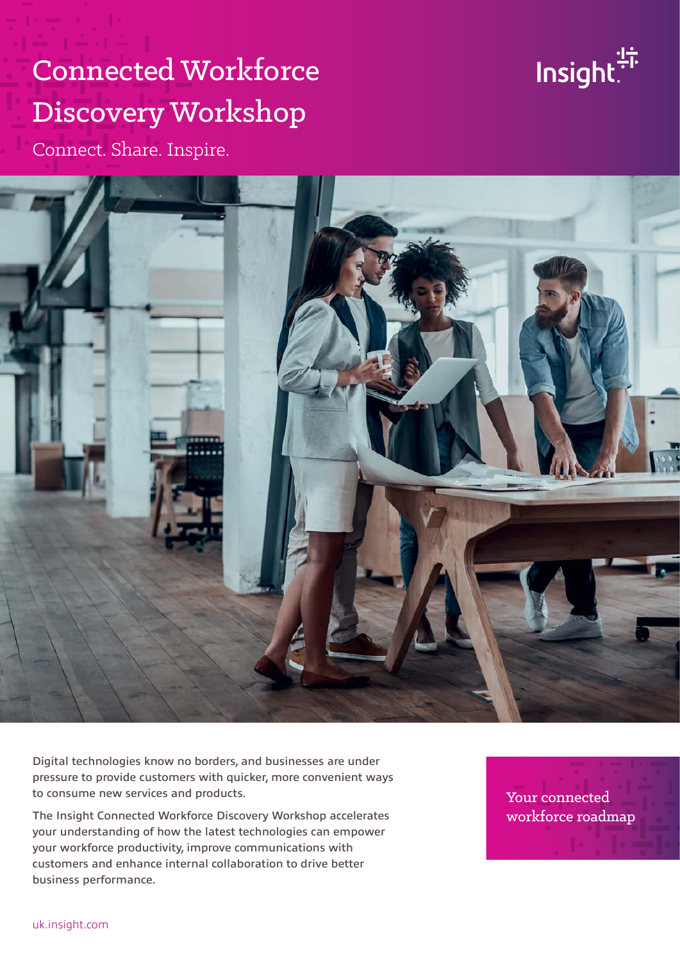# Connected Workforce Discovery Workshop



Connect. Share. Inspire.



Digital technologies know no borders, and businesses are under pressure to provide customers with quicker, more convenient ways to consume new services and products.

The Insight Connected Workforce Discovery Workshop accelerates your understanding of how the latest technologies can empower your workforce productivity, improve communications with customers and enhance internal collaboration to drive better business performance.

Your connected workforce roadmap